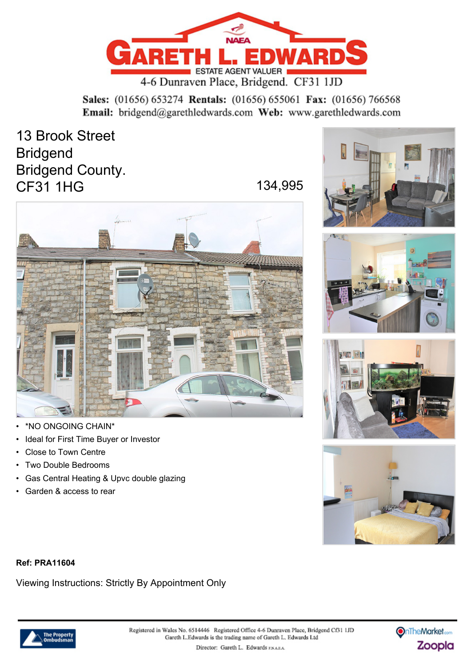

Sales: (01656) 653274 Rentals: (01656) 655061 Fax: (01656) 766568 Email: bridgend@garethledwards.com Web: www.garethledwards.com

13 Brook Street Bridgend Bridgend County. CF31 1HG 134,995



- \*NO ONGOING CHAIN\*
- Ideal for First Time Buyer or Investor
- Close to Town Centre
- Two Double Bedrooms
- Gas Central Heating & Upvc double glazing
- Garden & access to rear









#### **Ref: PRA11604**

Viewing Instructions: Strictly By Appointment Only



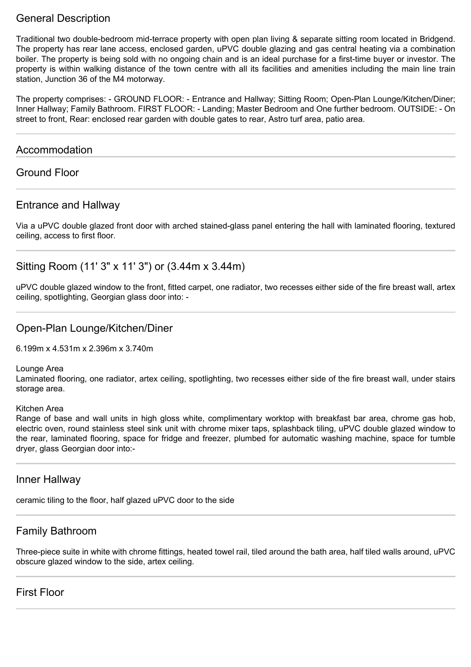## General Description

Traditional two double-bedroom mid-terrace property with open plan living & separate sitting room located in Bridgend. The property has rear lane access, enclosed garden, uPVC double glazing and gas central heating via a combination boiler. The property is being sold with no ongoing chain and is an ideal purchase for a first-time buyer or investor. The property is within walking distance of the town centre with all its facilities and amenities including the main line train station, Junction 36 of the M4 motorway.

The property comprises: - GROUND FLOOR: - Entrance and Hallway; Sitting Room; Open-Plan Lounge/Kitchen/Diner; Inner Hallway; Family Bathroom. FIRST FLOOR: - Landing; Master Bedroom and One further bedroom. OUTSIDE: - On street to front, Rear: enclosed rear garden with double gates to rear, Astro turf area, patio area.

#### Accommodation

## Ground Floor

## Entrance and Hallway

Via a uPVC double glazed front door with arched stained-glass panel entering the hall with laminated flooring, textured ceiling, access to first floor.

## Sitting Room (11' 3" x 11' 3") or (3.44m x 3.44m)

uPVC double glazed window to the front, fitted carpet, one radiator, two recesses either side of the fire breast wall, artex ceiling, spotlighting, Georgian glass door into: -

#### Open-Plan Lounge/Kitchen/Diner

6.199m x 4.531m x 2.396m x 3.740m

Lounge Area

Laminated flooring, one radiator, artex ceiling, spotlighting, two recesses either side of the fire breast wall, under stairs storage area.

Kitchen Area

Range of base and wall units in high gloss white, complimentary worktop with breakfast bar area, chrome gas hob, electric oven, round stainless steel sink unit with chrome mixer taps, splashback tiling, uPVC double glazed window to the rear, laminated flooring, space for fridge and freezer, plumbed for automatic washing machine, space for tumble dryer, glass Georgian door into:-

#### Inner Hallway

ceramic tiling to the floor, half glazed uPVC door to the side

## Family Bathroom

Three-piece suite in white with chrome fittings, heated towel rail, tiled around the bath area, half tiled walls around, uPVC obscure glazed window to the side, artex ceiling.

#### First Floor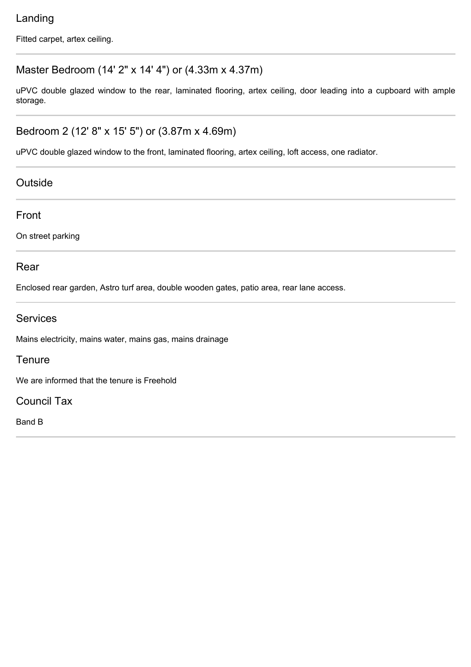# Landing

Fitted carpet, artex ceiling.

# Master Bedroom (14' 2" x 14' 4") or (4.33m x 4.37m)

uPVC double glazed window to the rear, laminated flooring, artex ceiling, door leading into a cupboard with ample storage.

# Bedroom 2 (12' 8" x 15' 5") or (3.87m x 4.69m)

uPVC double glazed window to the front, laminated flooring, artex ceiling, loft access, one radiator.

## **Outside**

Front

On street parking

## Rear

Enclosed rear garden, Astro turf area, double wooden gates, patio area, rear lane access.

## Services

Mains electricity, mains water, mains gas, mains drainage

## **Tenure**

We are informed that the tenure is Freehold

Council Tax

Band B